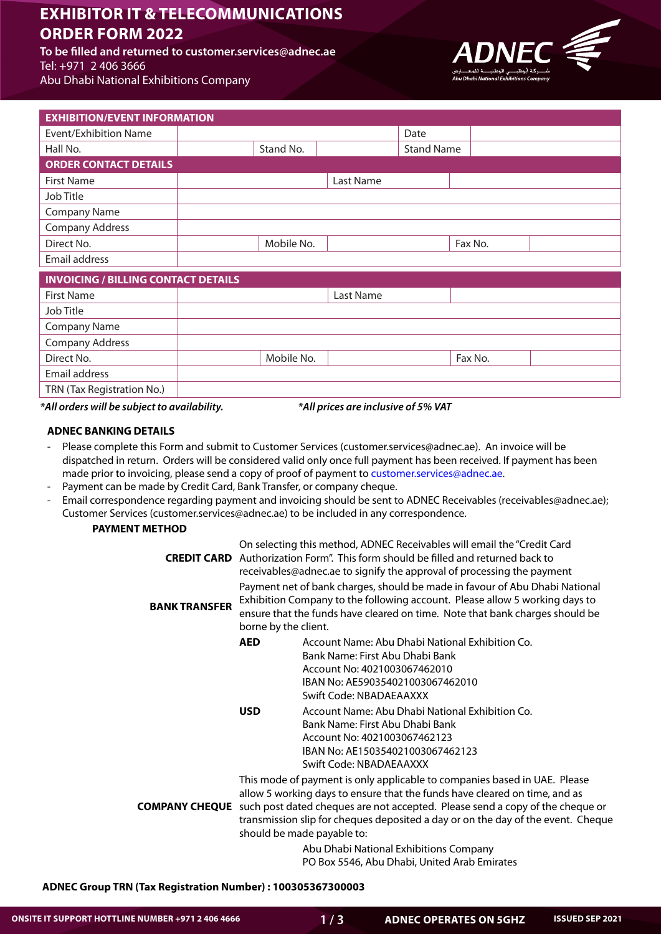# **EXHIBITOR IT & TELECOMMUNICATIONS 2022 BRDER FORM 2022**

To be filled and returned to customer.services@adnec.ae Tel: +971 2 406 3666 Abu Dhabi National Exhibitions Company



| <b>EXHIBITION/EVENT INFORMATION</b>        |            |           |                   |         |  |
|--------------------------------------------|------------|-----------|-------------------|---------|--|
| Event/Exhibition Name                      |            |           | Date              |         |  |
| Hall No.                                   | Stand No.  |           | <b>Stand Name</b> |         |  |
| <b>ORDER CONTACT DETAILS</b>               |            |           |                   |         |  |
| <b>First Name</b>                          |            | Last Name |                   |         |  |
| Job Title                                  |            |           |                   |         |  |
| <b>Company Name</b>                        |            |           |                   |         |  |
| <b>Company Address</b>                     |            |           |                   |         |  |
| Direct No.                                 | Mobile No. |           |                   | Fax No. |  |
| Email address                              |            |           |                   |         |  |
| <b>INVOICING / BILLING CONTACT DETAILS</b> |            |           |                   |         |  |
| <b>First Name</b>                          |            | Last Name |                   |         |  |
| Job Title                                  |            |           |                   |         |  |
| <b>Company Name</b>                        |            |           |                   |         |  |
| <b>Company Address</b>                     |            |           |                   |         |  |
| Direct No.                                 | Mobile No. |           |                   | Fax No. |  |
| Email address                              |            |           |                   |         |  |
| TRN (Tax Registration No.)                 |            |           |                   |         |  |

#### *VAT 5% of inclusive are prices All \*.availability to subject be will orders All\**

# **ADNEC BANKING DETAILS**

- Please complete this Form and submit to Customer Services (customer services@adnec.ae). An invoice will be dispatched in return. Orders will be considered valid only once full payment has been received. If payment has been made prior to invoicing, please send a copy of proof of payment to customer services@adnec.ae.
- Payment can be made by Credit Card, Bank Transfer, or company cheque.
- Email correspondence regarding payment and invoicing should be sent to ADNEC Receivables (receivables@adnec.ae); Customer Services (customer.services@adnec.ae) to be included in any correspondence.

## **PAYMENT METHOD**

| <b>CREDIT CARD</b>   |                                                                                                                                                                                                                                                                    | On selecting this method, ADNEC Receivables will email the "Credit Card<br>Authorization Form". This form should be filled and returned back to<br>receivables@adnec.ae to signify the approval of processing the payment                                                                                                                                                                                                  |  |  |  |  |
|----------------------|--------------------------------------------------------------------------------------------------------------------------------------------------------------------------------------------------------------------------------------------------------------------|----------------------------------------------------------------------------------------------------------------------------------------------------------------------------------------------------------------------------------------------------------------------------------------------------------------------------------------------------------------------------------------------------------------------------|--|--|--|--|
| <b>BANK TRANSFER</b> | Payment net of bank charges, should be made in favour of Abu Dhabi National<br>Exhibition Company to the following account. Please allow 5 working days to<br>ensure that the funds have cleared on time. Note that bank charges should be<br>borne by the client. |                                                                                                                                                                                                                                                                                                                                                                                                                            |  |  |  |  |
|                      | <b>AED</b><br><b>USD</b>                                                                                                                                                                                                                                           | Account Name: Abu Dhabi National Exhibition Co.<br>Bank Name: First Abu Dhabi Bank<br>Account No: 4021003067462010<br>IBAN No: AE590354021003067462010<br>Swift Code: NBADAEAAXXX<br>Account Name: Abu Dhabi National Exhibition Co.<br>Bank Name: First Abu Dhabi Bank<br>Account No: 4021003067462123<br>IBAN No: AE150354021003067462123<br>Swift Code: NBADAEAAXXX                                                     |  |  |  |  |
|                      |                                                                                                                                                                                                                                                                    | This mode of payment is only applicable to companies based in UAE. Please<br>allow 5 working days to ensure that the funds have cleared on time, and as<br><b>COMPANY CHEQUE</b> such post dated cheques are not accepted. Please send a copy of the cheque or<br>transmission slip for cheques deposited a day or on the day of the event. Cheque<br>should be made payable to:<br>Abu Dhabi National Exhibitions Company |  |  |  |  |
|                      |                                                                                                                                                                                                                                                                    | PO Box 5546, Abu Dhabi, United Arab Emirates                                                                                                                                                                                                                                                                                                                                                                               |  |  |  |  |

**ADNEC Group TRN (Tax Registration Number): 100305367300003**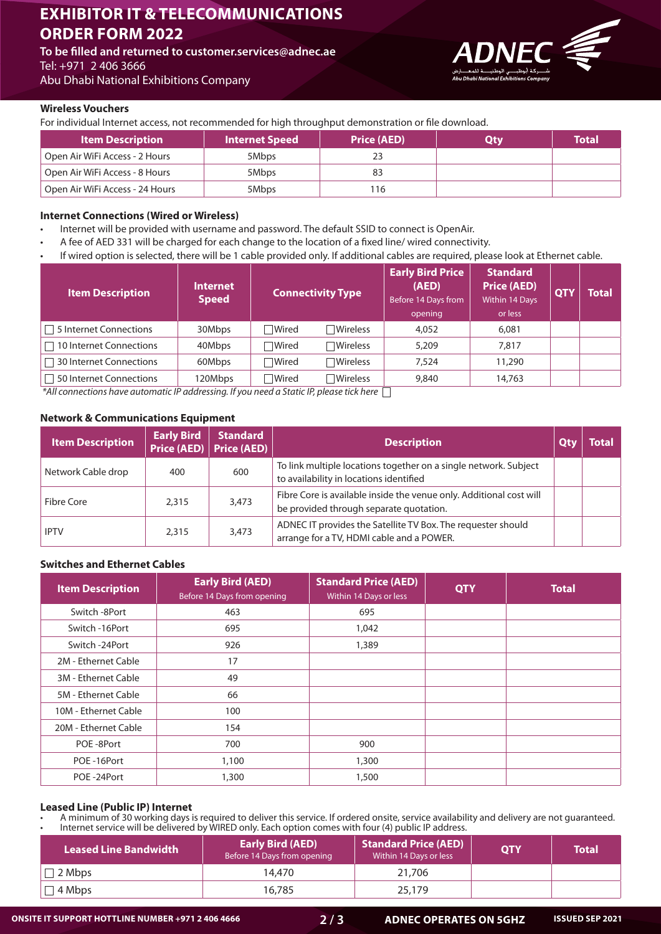# **EXHIBITOR IT & TELECOMMUNICATIONS 2022 TORDER FORM 2022**

To be filled and returned to customer.services@adnec.ae Tel: +971 2 406 3666 Abu Dhabi National Exhibitions Company

## **Wireless Vouchers**

For individual Internet access, not recommended for high throughput demonstration or file download.

| <b>Item Description</b>         | <b>Internet Speed</b> | <b>Price (AED)</b> | Otv | <b>Total</b> |
|---------------------------------|-----------------------|--------------------|-----|--------------|
| Open Air WiFi Access - 2 Hours  | 5Mbps                 |                    |     |              |
| Open Air WiFi Access - 8 Hours  | 5Mbps                 |                    |     |              |
| Open Air WiFi Access - 24 Hours | 5Mbps                 | 116                |     |              |

#### **Internet Connections (Wired or Wireless)**

- Internet will be provided with username and password. The default SSID to connect is OpenAir.
- A fee of AED 331 will be charged for each change to the location of a fixed line/ wired connectivity.
- If wired option is selected, there will be 1 cable provided only. If additional cables are required, please look at Ethernet cable.

| <b>Item Description</b>       | <b>Internet</b><br><b>Speed</b> | <b>Connectivity Type</b> |                    | <b>Early Bird Price</b><br>(AED)<br>Before 14 Days from<br>opening | <b>Standard</b><br><b>Price (AED)</b><br>Within 14 Days<br>or less | <b>OTY</b> | <b>Total</b> |
|-------------------------------|---------------------------------|--------------------------|--------------------|--------------------------------------------------------------------|--------------------------------------------------------------------|------------|--------------|
| $\Box$ 5 Internet Connections | 30Mbps                          | <b>■Wired</b>            | $\Box$ Wireless    | 4,052                                                              | 6,081                                                              |            |              |
| 10 Internet Connections       | 40Mbps                          | <b>■Wired</b>            | $\Box$ Wireless    | 5,209                                                              | 7,817                                                              |            |              |
| 30 Internet Connections       | 60Mbps                          | <b>■Wired</b>            | $\Box$ Wireless    | 7.524                                                              | 11,290                                                             |            |              |
| 50 Internet Connections       | 120Mbps                         | <b>■Wired</b>            | $\exists$ Wireless | 9,840                                                              | 14,763                                                             |            |              |

 $\hat{}$  All connections have automatic IP addressing. If you need a Static IP, please tick here  $\Box$ 

## **Network & Communications Equipment**

| <b>Item Description</b> | <b>Early Bird</b> | <b>Standard</b><br>Price (AED) Price (AED) | <b>Description</b>                                                                                             | Total |
|-------------------------|-------------------|--------------------------------------------|----------------------------------------------------------------------------------------------------------------|-------|
| Network Cable drop      | 400               | 600                                        | To link multiple locations together on a single network. Subject<br>to availability in locations identified    |       |
| Fibre Core              | 2.315             | 3,473                                      | Fibre Core is available inside the venue only. Additional cost will<br>be provided through separate quotation. |       |
| <b>IPTV</b>             | 2.315             | 3,473                                      | ADNEC IT provides the Satellite TV Box. The requester should<br>arrange for a TV, HDMI cable and a POWER.      |       |

# **Switches and Ethernet Cables**

| <b>Item Description</b> | <b>Early Bird (AED)</b><br>Before 14 Days from opening | <b>Standard Price (AED)</b><br>Within 14 Days or less | <b>QTY</b> | <b>Total</b> |
|-------------------------|--------------------------------------------------------|-------------------------------------------------------|------------|--------------|
| Switch -8Port           | 463                                                    | 695                                                   |            |              |
| Switch -16Port          | 695                                                    | 1,042                                                 |            |              |
| Switch -24Port          | 926                                                    | 1,389                                                 |            |              |
| 2M - Ethernet Cable     | 17                                                     |                                                       |            |              |
| 3M - Ethernet Cable     | 49                                                     |                                                       |            |              |
| 5M - Ethernet Cable     | 66                                                     |                                                       |            |              |
| 10M - Ethernet Cable    | 100                                                    |                                                       |            |              |
| 20M - Ethernet Cable    | 154                                                    |                                                       |            |              |
| POE-8Port               | 700                                                    | 900                                                   |            |              |
| POE-16Port              | 1,100                                                  | 1,300                                                 |            |              |
| POE-24Port              | 1,300                                                  | 1,500                                                 |            |              |

#### **Leased Line (Public IP) Internet**

A minimum of 30 working days is required to deliver this service. If ordered onsite, service availability and delivery are not guaranteed. Internet service will be delivered by WIRED only. Each option comes with four (4) public IP address.

| <b>Leased Line Bandwidth</b> | <b>Early Bird (AED)</b><br>Before 14 Days from opening | <b>Standard Price (AED)</b><br>Within 14 Days or less | <b>OTY</b> | <b>Total</b> |
|------------------------------|--------------------------------------------------------|-------------------------------------------------------|------------|--------------|
| 2 Mbps                       | 14.470                                                 | 21,706                                                |            |              |
| 4 Mbps                       | 16,785                                                 | 25,179                                                |            |              |